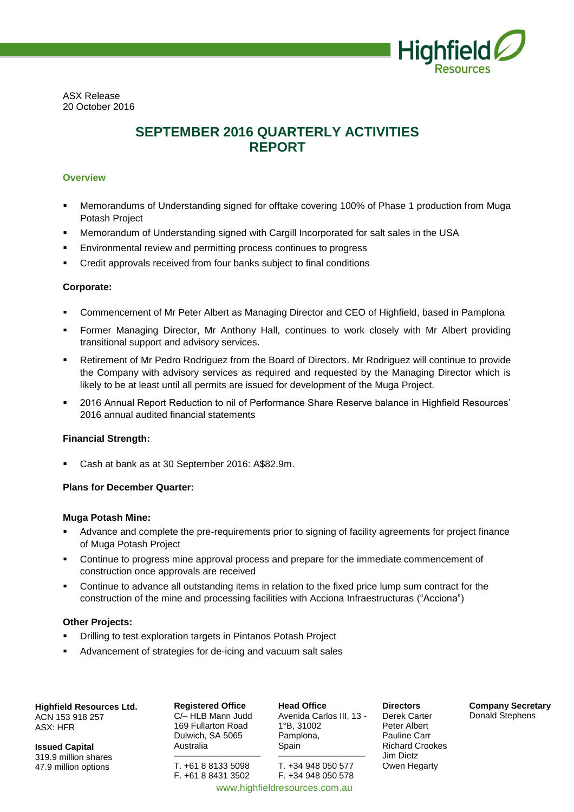

ASX Release 20 October 2016

# **SEPTEMBER 2016 QUARTERLY ACTIVITIES REPORT**

# **Overview**

- Memorandums of Understanding signed for offtake covering 100% of Phase 1 production from Muga Potash Project
- Memorandum of Understanding signed with Cargill Incorporated for salt sales in the USA
- Environmental review and permitting process continues to progress
- Credit approvals received from four banks subject to final conditions

# **Corporate:**

- Commencement of Mr Peter Albert as Managing Director and CEO of Highfield, based in Pamplona
- Former Managing Director, Mr Anthony Hall, continues to work closely with Mr Albert providing transitional support and advisory services.
- Retirement of Mr Pedro Rodriguez from the Board of Directors. Mr Rodriguez will continue to provide the Company with advisory services as required and requested by the Managing Director which is likely to be at least until all permits are issued for development of the Muga Project.
- 2016 Annual Report Reduction to nil of Performance Share Reserve balance in Highfield Resources' 2016 annual audited financial statements

# **Financial Strength:**

Cash at bank as at 30 September 2016: A\$82.9m.

# **Plans for December Quarter:**

#### **Muga Potash Mine:**

- Advance and complete the pre-requirements prior to signing of facility agreements for project finance of Muga Potash Project
- Continue to progress mine approval process and prepare for the immediate commencement of construction once approvals are received
- Continue to advance all outstanding items in relation to the fixed price lump sum contract for the construction of the mine and processing facilities with Acciona Infraestructuras ("Acciona")

#### **Other Projects:**

- Drilling to test exploration targets in Pintanos Potash Project
- Advancement of strategies for de-icing and vacuum salt sales

**Highfield Resources Ltd.**

ACN 153 918 257 ASX: HFR

**Issued Capital** 319.9 million shares 47.9 million options

**Registered Office** C/– HLB Mann Judd 169 Fullarton Road Dulwich, SA 5065 Australia

–––––––––––––––––– T. +61 8 8133 5098 F. +61 8 8431 3502

**Head Office** Avenida Carlos III, 13 - 1°B, 31002 Pamplona, Spain ––––––––––––––––––

T. +34 948 050 577 F. +34 948 050 578 www.highfieldresources.com.au

**Directors** Derek Carter Peter Albert Pauline Carr Richard Crookes Jim Dietz Owen Hegarty

**Company Secretary** Donald Stephens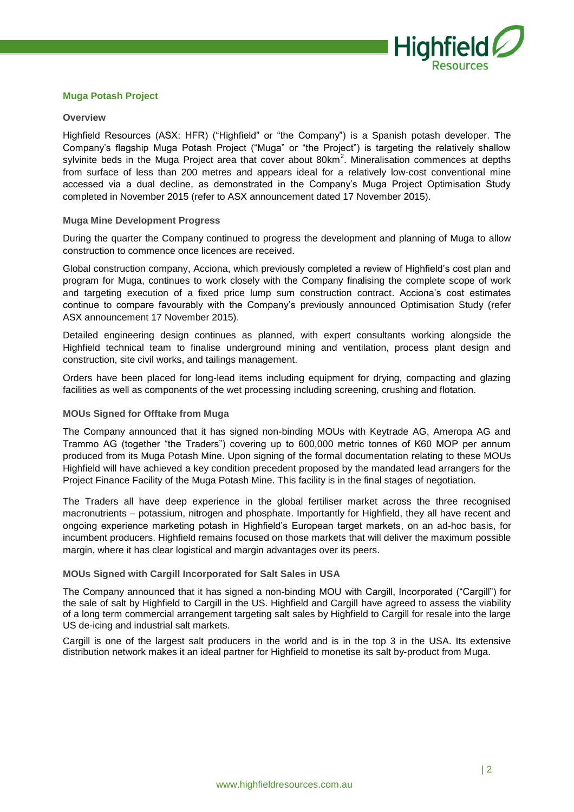

# **Muga Potash Project**

#### **Overview**

Highfield Resources (ASX: HFR) ("Highfield" or "the Company") is a Spanish potash developer. The Company's flagship Muga Potash Project ("Muga" or "the Project") is targeting the relatively shallow sylvinite beds in the Muga Project area that cover about 80km<sup>2</sup>. Mineralisation commences at depths from surface of less than 200 metres and appears ideal for a relatively low-cost conventional mine accessed via a dual decline, as demonstrated in the Company's Muga Project Optimisation Study completed in November 2015 (refer to ASX announcement dated 17 November 2015).

#### **Muga Mine Development Progress**

During the quarter the Company continued to progress the development and planning of Muga to allow construction to commence once licences are received.

Global construction company, Acciona, which previously completed a review of Highfield's cost plan and program for Muga, continues to work closely with the Company finalising the complete scope of work and targeting execution of a fixed price lump sum construction contract. Acciona's cost estimates continue to compare favourably with the Company's previously announced Optimisation Study (refer ASX announcement 17 November 2015).

Detailed engineering design continues as planned, with expert consultants working alongside the Highfield technical team to finalise underground mining and ventilation, process plant design and construction, site civil works, and tailings management.

Orders have been placed for long-lead items including equipment for drying, compacting and glazing facilities as well as components of the wet processing including screening, crushing and flotation.

#### **MOUs Signed for Offtake from Muga**

The Company announced that it has signed non-binding MOUs with Keytrade AG, Ameropa AG and Trammo AG (together "the Traders") covering up to 600,000 metric tonnes of K60 MOP per annum produced from its Muga Potash Mine. Upon signing of the formal documentation relating to these MOUs Highfield will have achieved a key condition precedent proposed by the mandated lead arrangers for the Project Finance Facility of the Muga Potash Mine. This facility is in the final stages of negotiation.

The Traders all have deep experience in the global fertiliser market across the three recognised macronutrients – potassium, nitrogen and phosphate. Importantly for Highfield, they all have recent and ongoing experience marketing potash in Highfield's European target markets, on an ad-hoc basis, for incumbent producers. Highfield remains focused on those markets that will deliver the maximum possible margin, where it has clear logistical and margin advantages over its peers.

#### **MOUs Signed with Cargill Incorporated for Salt Sales in USA**

The Company announced that it has signed a non-binding MOU with Cargill, Incorporated ("Cargill") for the sale of salt by Highfield to Cargill in the US. Highfield and Cargill have agreed to assess the viability of a long term commercial arrangement targeting salt sales by Highfield to Cargill for resale into the large US de-icing and industrial salt markets.

Cargill is one of the largest salt producers in the world and is in the top 3 in the USA. Its extensive distribution network makes it an ideal partner for Highfield to monetise its salt by-product from Muga.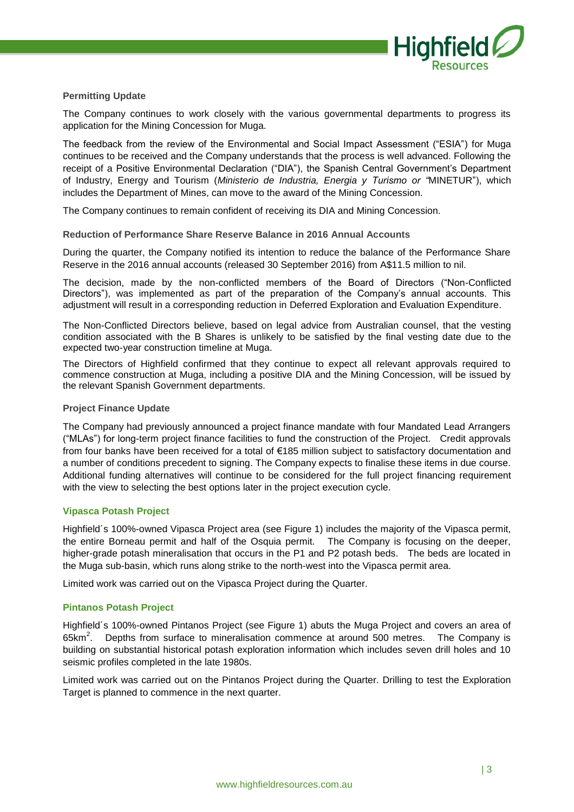

# **Permitting Update**

The Company continues to work closely with the various governmental departments to progress its application for the Mining Concession for Muga.

The feedback from the review of the Environmental and Social Impact Assessment ("ESIA") for Muga continues to be received and the Company understands that the process is well advanced. Following the receipt of a Positive Environmental Declaration ("DIA"), the Spanish Central Government's Department of Industry, Energy and Tourism (*Ministerio de Industria, Energia y Turismo or "*MINETUR"), which includes the Department of Mines, can move to the award of the Mining Concession.

The Company continues to remain confident of receiving its DIA and Mining Concession.

#### **Reduction of Performance Share Reserve Balance in 2016 Annual Accounts**

During the quarter, the Company notified its intention to reduce the balance of the Performance Share Reserve in the 2016 annual accounts (released 30 September 2016) from A\$11.5 million to nil.

The decision, made by the non-conflicted members of the Board of Directors ("Non-Conflicted Directors"), was implemented as part of the preparation of the Company's annual accounts. This adjustment will result in a corresponding reduction in Deferred Exploration and Evaluation Expenditure.

The Non-Conflicted Directors believe, based on legal advice from Australian counsel, that the vesting condition associated with the B Shares is unlikely to be satisfied by the final vesting date due to the expected two-year construction timeline at Muga.

The Directors of Highfield confirmed that they continue to expect all relevant approvals required to commence construction at Muga, including a positive DIA and the Mining Concession, will be issued by the relevant Spanish Government departments.

#### **Project Finance Update**

The Company had previously announced a project finance mandate with four Mandated Lead Arrangers ("MLAs") for long-term project finance facilities to fund the construction of the Project. Credit approvals from four banks have been received for a total of €185 million subject to satisfactory documentation and a number of conditions precedent to signing. The Company expects to finalise these items in due course. Additional funding alternatives will continue to be considered for the full project financing requirement with the view to selecting the best options later in the project execution cycle.

#### **Vipasca Potash Project**

Highfield´s 100%-owned Vipasca Project area (see Figure 1) includes the majority of the Vipasca permit, the entire Borneau permit and half of the Osquia permit. The Company is focusing on the deeper, higher-grade potash mineralisation that occurs in the P1 and P2 potash beds. The beds are located in the Muga sub-basin, which runs along strike to the north-west into the Vipasca permit area.

Limited work was carried out on the Vipasca Project during the Quarter.

#### **Pintanos Potash Project**

Highfield´s 100%-owned Pintanos Project (see Figure 1) abuts the Muga Project and covers an area of 65 $km^2$ . Depths from surface to mineralisation commence at around 500 metres. The Company is building on substantial historical potash exploration information which includes seven drill holes and 10 seismic profiles completed in the late 1980s.

Limited work was carried out on the Pintanos Project during the Quarter. Drilling to test the Exploration Target is planned to commence in the next quarter.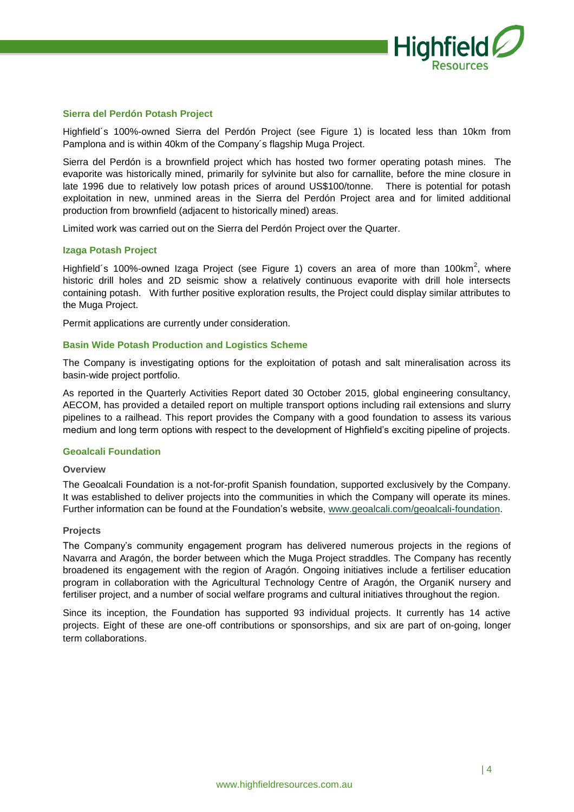

#### **Sierra del Perdón Potash Project**

Highfield´s 100%-owned Sierra del Perdón Project (see Figure 1) is located less than 10km from Pamplona and is within 40km of the Company´s flagship Muga Project.

Sierra del Perdón is a brownfield project which has hosted two former operating potash mines. The evaporite was historically mined, primarily for sylvinite but also for carnallite, before the mine closure in late 1996 due to relatively low potash prices of around US\$100/tonne. There is potential for potash exploitation in new, unmined areas in the Sierra del Perdón Project area and for limited additional production from brownfield (adjacent to historically mined) areas.

Limited work was carried out on the Sierra del Perdón Project over the Quarter.

#### **Izaga Potash Project**

Highfield's 100%-owned Izaga Project (see Figure 1) covers an area of more than 100km<sup>2</sup>, where historic drill holes and 2D seismic show a relatively continuous evaporite with drill hole intersects containing potash. With further positive exploration results, the Project could display similar attributes to the Muga Project.

Permit applications are currently under consideration.

#### **Basin Wide Potash Production and Logistics Scheme**

The Company is investigating options for the exploitation of potash and salt mineralisation across its basin-wide project portfolio.

As reported in the Quarterly Activities Report dated 30 October 2015, global engineering consultancy, AECOM, has provided a detailed report on multiple transport options including rail extensions and slurry pipelines to a railhead. This report provides the Company with a good foundation to assess its various medium and long term options with respect to the development of Highfield's exciting pipeline of projects.

#### **Geoalcali Foundation**

#### **Overview**

The Geoalcali Foundation is a not-for-profit Spanish foundation, supported exclusively by the Company. It was established to deliver projects into the communities in which the Company will operate its mines. Further information can be found at the Foundation's website, [www.geoalcali.com/geoalcali-foundation.](http://www.geoalcali.com/geoalcali-foundation)

#### **Projects**

The Company's community engagement program has delivered numerous projects in the regions of Navarra and Aragón, the border between which the Muga Project straddles. The Company has recently broadened its engagement with the region of Aragón. Ongoing initiatives include a fertiliser education program in collaboration with the Agricultural Technology Centre of Aragón, the OrganiK nursery and fertiliser project, and a number of social welfare programs and cultural initiatives throughout the region.

Since its inception, the Foundation has supported 93 individual projects. It currently has 14 active projects. Eight of these are one-off contributions or sponsorships, and six are part of on-going, longer term collaborations.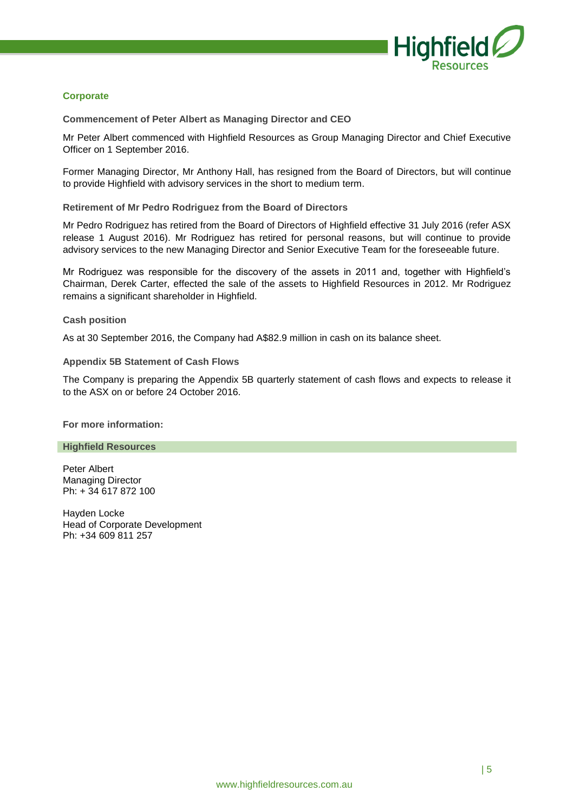

# **Corporate**

**Commencement of Peter Albert as Managing Director and CEO**

Mr Peter Albert commenced with Highfield Resources as Group Managing Director and Chief Executive Officer on 1 September 2016.

Former Managing Director, Mr Anthony Hall, has resigned from the Board of Directors, but will continue to provide Highfield with advisory services in the short to medium term.

**Retirement of Mr Pedro Rodriguez from the Board of Directors**

Mr Pedro Rodriguez has retired from the Board of Directors of Highfield effective 31 July 2016 (refer ASX release 1 August 2016). Mr Rodriguez has retired for personal reasons, but will continue to provide advisory services to the new Managing Director and Senior Executive Team for the foreseeable future.

Mr Rodriguez was responsible for the discovery of the assets in 2011 and, together with Highfield's Chairman, Derek Carter, effected the sale of the assets to Highfield Resources in 2012. Mr Rodriguez remains a significant shareholder in Highfield.

# **Cash position**

As at 30 September 2016, the Company had A\$82.9 million in cash on its balance sheet.

# **Appendix 5B Statement of Cash Flows**

The Company is preparing the Appendix 5B quarterly statement of cash flows and expects to release it to the ASX on or before 24 October 2016.

**For more information:**

#### **Highfield Resources**

Peter Albert Managing Director Ph: + 34 617 872 100

Hayden Locke Head of Corporate Development Ph: +34 609 811 257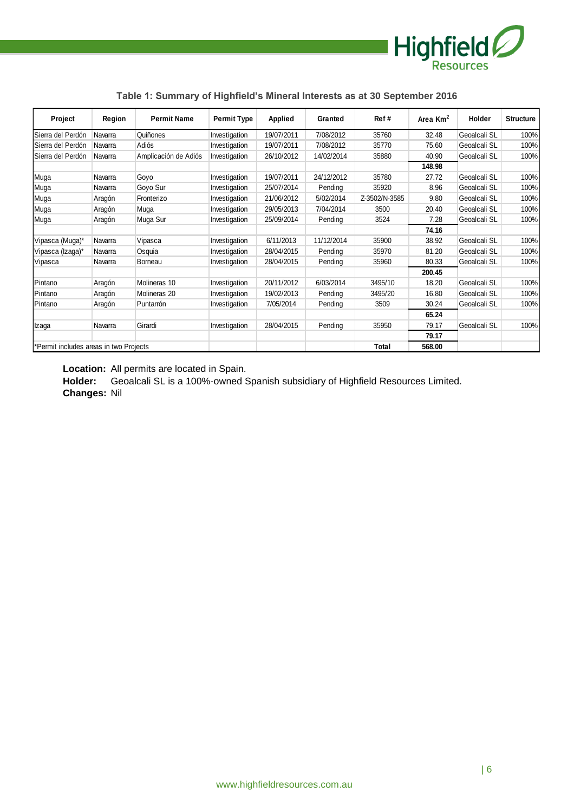

| Project                                | Region  | <b>Permit Name</b>   | <b>Permit Type</b> | Applied    | Granted    | Ref#          | Area $Km2$ | Holder       | <b>Structure</b> |
|----------------------------------------|---------|----------------------|--------------------|------------|------------|---------------|------------|--------------|------------------|
| Sierra del Perdón                      | Navarra | Quiñones             | Investigation      | 19/07/2011 | 7/08/2012  | 35760         | 32.48      | Geoalcali SL | 100%             |
| Sierra del Perdón                      | Navarra | Adiós                | Investigation      | 19/07/2011 | 7/08/2012  | 35770         | 75.60      | Geoalcali SL | 100%             |
| Sierra del Perdón                      | Navarra | Amplicación de Adiós | Investigation      | 26/10/2012 | 14/02/2014 | 35880         | 40.90      | Geoalcali SL | 100%             |
|                                        |         |                      |                    |            |            |               | 148.98     |              |                  |
| Muga                                   | Navarra | Goyo                 | Investigation      | 19/07/2011 | 24/12/2012 | 35780         | 27.72      | Geoalcali SL | 100%             |
| Muga                                   | Navarra | Goyo Sur             | Investigation      | 25/07/2014 | Pendina    | 35920         | 8.96       | Geoalcali SL | 100%             |
| Muga                                   | Aragón  | Fronterizo           | Investigation      | 21/06/2012 | 5/02/2014  | Z-3502/N-3585 | 9.80       | Geoalcali SL | 100%             |
| Muga                                   | Aragón  | Muga                 | Investigation      | 29/05/2013 | 7/04/2014  | 3500          | 20.40      | Geoalcali SL | 100%             |
| Muga                                   | Aragón  | Muga Sur             | Investigation      | 25/09/2014 | Pending    | 3524          | 7.28       | Geoalcali SL | 100%             |
|                                        |         |                      |                    |            |            |               | 74.16      |              |                  |
| Vipasca (Muga)*                        | Navarra | Vipasca              | Investigation      | 6/11/2013  | 11/12/2014 | 35900         | 38.92      | Geoalcali SL | 100%             |
| Vipasca (Izaga)*                       | Navarra | Osquia               | Investigation      | 28/04/2015 | Pending    | 35970         | 81.20      | Geoalcali SL | 100%             |
| Vipasca                                | Navarra | Borneau              | Investigation      | 28/04/2015 | Pending    | 35960         | 80.33      | Geoalcali SL | 100%             |
|                                        |         |                      |                    |            |            |               | 200.45     |              |                  |
| Pintano                                | Aragón  | Molineras 10         | Investigation      | 20/11/2012 | 6/03/2014  | 3495/10       | 18.20      | Geoalcali SL | 100%             |
| Pintano                                | Aragón  | Molineras 20         | Investigation      | 19/02/2013 | Pending    | 3495/20       | 16.80      | Geoalcali SL | 100%             |
| Pintano                                | Aragón  | Puntarrón            | Investigation      | 7/05/2014  | Pending    | 3509          | 30.24      | Geoalcali SL | 100%             |
|                                        |         |                      |                    |            |            |               | 65.24      |              |                  |
| Izaga                                  | Navarra | Girardi              | Investigation      | 28/04/2015 | Pending    | 35950         | 79.17      | Geoalcali SL | 100%             |
|                                        |         |                      |                    |            |            |               | 79.17      |              |                  |
| *Permit includes areas in two Projects |         |                      |                    |            |            | Total         | 568.00     |              |                  |

# **Table 1: Summary of Highfield's Mineral Interests as at 30 September 2016**

**Location:** All permits are located in Spain.

**Holder:** Geoalcali SL is a 100%-owned Spanish subsidiary of Highfield Resources Limited. **Changes:** Nil